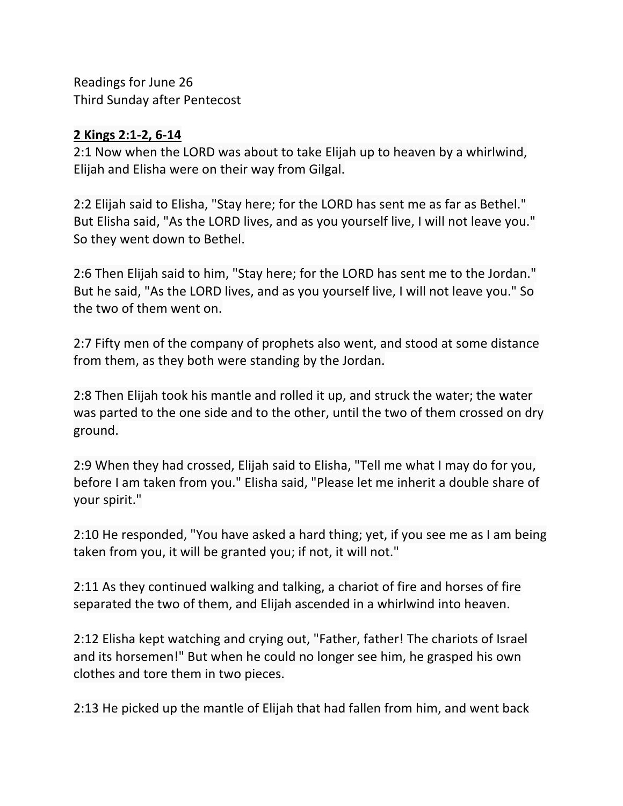Readings for June 26 Third Sunday after Pentecost

## **2 Kings 2:1-2, 6-14**

2:1 Now when the LORD was about to take Elijah up to heaven by a whirlwind, Elijah and Elisha were on their way from Gilgal.

2:2 Elijah said to Elisha, "Stay here; for the LORD has sent me as far as Bethel." But Elisha said, "As the LORD lives, and as you yourself live, I will not leave you." So they went down to Bethel.

2:6 Then Elijah said to him, "Stay here; for the LORD has sent me to the Jordan." But he said, "As the LORD lives, and as you yourself live, I will not leave you." So the two of them went on.

2:7 Fifty men of the company of prophets also went, and stood at some distance from them, as they both were standing by the Jordan.

2:8 Then Elijah took his mantle and rolled it up, and struck the water; the water was parted to the one side and to the other, until the two of them crossed on dry ground.

2:9 When they had crossed, Elijah said to Elisha, "Tell me what I may do for you, before I am taken from you." Elisha said, "Please let me inherit a double share of your spirit."

2:10 He responded, "You have asked a hard thing; yet, if you see me as I am being taken from you, it will be granted you; if not, it will not."

2:11 As they continued walking and talking, a chariot of fire and horses of fire separated the two of them, and Elijah ascended in a whirlwind into heaven.

2:12 Elisha kept watching and crying out, "Father, father! The chariots of Israel and its horsemen!" But when he could no longer see him, he grasped his own clothes and tore them in two pieces.

2:13 He picked up the mantle of Elijah that had fallen from him, and went back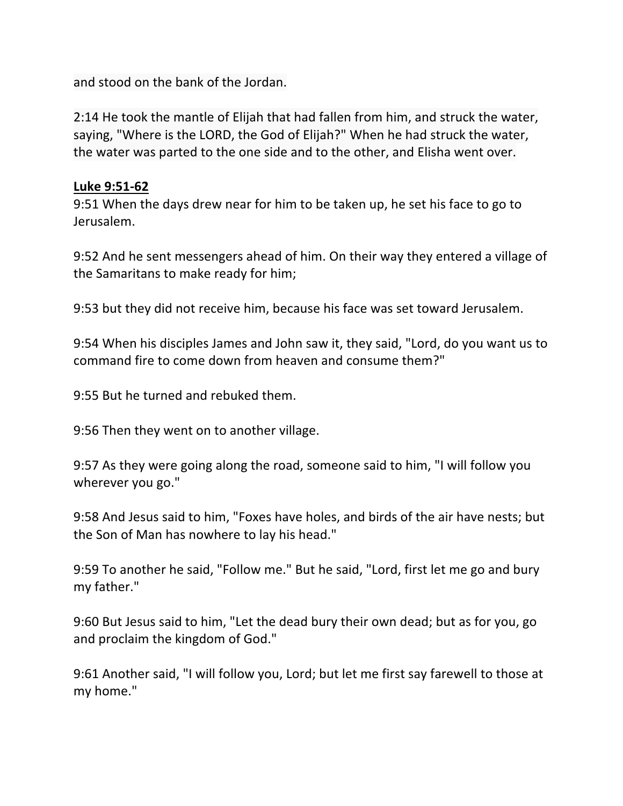and stood on the bank of the Jordan.

2:14 He took the mantle of Elijah that had fallen from him, and struck the water, saying, "Where is the LORD, the God of Elijah?" When he had struck the water, the water was parted to the one side and to the other, and Elisha went over.

## **Luke 9:51-62**

9:51 When the days drew near for him to be taken up, he set his face to go to Jerusalem.

9:52 And he sent messengers ahead of him. On their way they entered a village of the Samaritans to make ready for him;

9:53 but they did not receive him, because his face was set toward Jerusalem.

9:54 When his disciples James and John saw it, they said, "Lord, do you want us to command fire to come down from heaven and consume them?"

9:55 But he turned and rebuked them.

9:56 Then they went on to another village.

9:57 As they were going along the road, someone said to him, "I will follow you wherever you go."

9:58 And Jesus said to him, "Foxes have holes, and birds of the air have nests; but the Son of Man has nowhere to lay his head."

9:59 To another he said, "Follow me." But he said, "Lord, first let me go and bury my father."

9:60 But Jesus said to him, "Let the dead bury their own dead; but as for you, go and proclaim the kingdom of God."

9:61 Another said, "I will follow you, Lord; but let me first say farewell to those at my home."